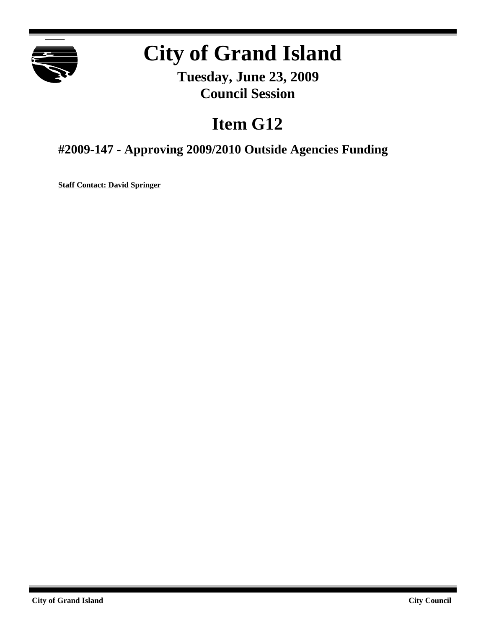

# **City of Grand Island**

**Tuesday, June 23, 2009 Council Session**

# **Item G12**

## **#2009-147 - Approving 2009/2010 Outside Agencies Funding**

**Staff Contact: David Springer**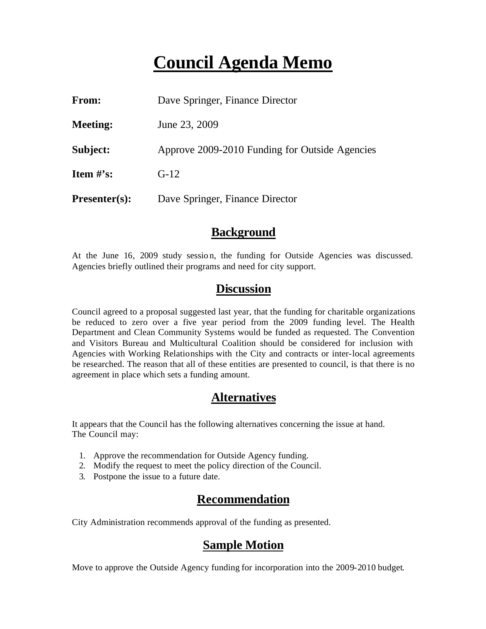# **Council Agenda Memo**

| From:           | Dave Springer, Finance Director                |
|-----------------|------------------------------------------------|
| <b>Meeting:</b> | June 23, 2009                                  |
| Subject:        | Approve 2009-2010 Funding for Outside Agencies |
| Item $#$ 's:    | $G-12$                                         |
| $Presenter(s):$ | Dave Springer, Finance Director                |

#### **Background**

At the June 16, 2009 study session, the funding for Outside Agencies was discussed. Agencies briefly outlined their programs and need for city support.

### **Discussion**

Council agreed to a proposal suggested last year, that the funding for charitable organizations be reduced to zero over a five year period from the 2009 funding level. The Health Department and Clean Community Systems would be funded as requested. The Convention and Visitors Bureau and Multicultural Coalition should be considered for inclusion with Agencies with Working Relationships with the City and contracts or inter-local agreements be researched. The reason that all of these entities are presented to council, is that there is no agreement in place which sets a funding amount.

### **Alternatives**

It appears that the Council has the following alternatives concerning the issue at hand. The Council may:

- 1. Approve the recommendation for Outside Agency funding.
- 2. Modify the request to meet the policy direction of the Council.
- 3. Postpone the issue to a future date.

### **Recommendation**

City Administration recommends approval of the funding as presented.

### **Sample Motion**

Move to approve the Outside Agency funding for incorporation into the 2009-2010 budget.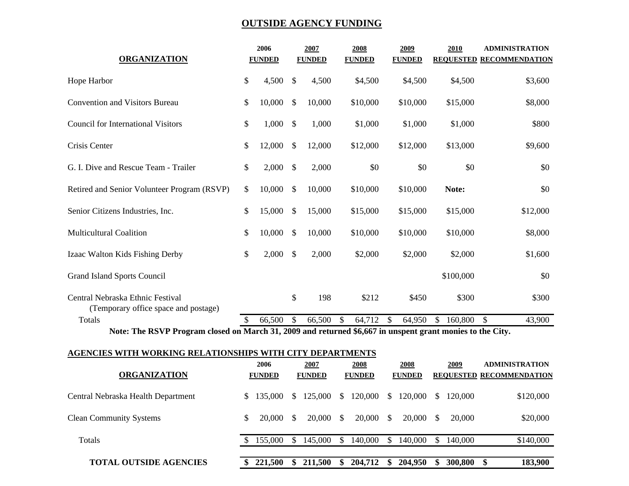#### **OUTSIDE AGENCY FUNDING**

| <b>ORGANIZATION</b>                                                                                         |    | 2006          |              | 2007          | 2008          | 2009          | 2010             | <b>ADMINISTRATION</b>   |  |
|-------------------------------------------------------------------------------------------------------------|----|---------------|--------------|---------------|---------------|---------------|------------------|-------------------------|--|
|                                                                                                             |    | <b>FUNDED</b> |              | <b>FUNDED</b> | <b>FUNDED</b> | <b>FUNDED</b> | <b>REQUESTED</b> | <b>RECOMMENDATION</b>   |  |
| Hope Harbor                                                                                                 |    | 4,500         | \$           | 4,500         | \$4,500       | \$4,500       | \$4,500          | \$3,600                 |  |
| <b>Convention and Visitors Bureau</b>                                                                       |    | 10,000        | \$           | 10,000        | \$10,000      | \$10,000      | \$15,000         | \$8,000                 |  |
| <b>Council for International Visitors</b>                                                                   |    | 1,000         | \$           | 1,000         | \$1,000       | \$1,000       | \$1,000          | \$800                   |  |
| Crisis Center                                                                                               | \$ | 12,000        | $\mathbb{S}$ | 12,000        | \$12,000      | \$12,000      | \$13,000         | \$9,600                 |  |
| G. I. Dive and Rescue Team - Trailer                                                                        | \$ | 2,000         | \$           | 2,000         | \$0           | \$0           | \$0              | \$0                     |  |
| Retired and Senior Volunteer Program (RSVP)                                                                 | \$ | 10,000        | \$           | 10,000        | \$10,000      | \$10,000      | Note:            | \$0                     |  |
| Senior Citizens Industries, Inc.                                                                            | \$ | 15,000        | \$           | 15,000        | \$15,000      | \$15,000      | \$15,000         | \$12,000                |  |
| <b>Multicultural Coalition</b>                                                                              | \$ | 10,000        | \$           | 10,000        | \$10,000      | \$10,000      | \$10,000         | \$8,000                 |  |
| Izaac Walton Kids Fishing Derby                                                                             | \$ | 2,000         | \$           | 2,000         | \$2,000       | \$2,000       | \$2,000          | \$1,600                 |  |
| <b>Grand Island Sports Council</b>                                                                          |    |               |              |               |               |               | \$100,000        | \$0                     |  |
| Central Nebraska Ethnic Festival<br>(Temporary office space and postage)                                    |    |               | \$           | 198           | \$212         | \$450         | \$300            | \$300                   |  |
| Totals                                                                                                      |    | 66,500        | \$           | 66,500        | 64,712<br>\$  | 64,950<br>\$  | 160,800<br>\$.   | $\mathcal{S}$<br>43,900 |  |
| Note: The DSVD Dreamen closed on March 21, 2000 and returned $\&$ 6.667 in upgrant graph manies to the City |    |               |              |               |               |               |                  |                         |  |

 **Note: The RSVP Program closed on March 31, 2009 and returned \$6,667 in unspent grant monies to the City.**

#### **AGENCIES WITH WORKING RELATIONSHIPS WITH CITY DEPARTMENTS**

|                                    |    | 2006          |    | 2007          |               | 2008          |          | 2008          |              | 2009    | <b>ADMINISTRATION</b>           |           |
|------------------------------------|----|---------------|----|---------------|---------------|---------------|----------|---------------|--------------|---------|---------------------------------|-----------|
| <b>ORGANIZATION</b>                |    | <b>FUNDED</b> |    | <b>FUNDED</b> |               | <b>FUNDED</b> |          | <b>FUNDED</b> |              |         | <b>REQUESTED RECOMMENDATION</b> |           |
| Central Nebraska Health Department | S. | 135,000       | S. | 125,000       | <sup>\$</sup> | 120,000       | S        | 120,000       | S –          | 120,000 |                                 | \$120,000 |
| <b>Clean Community Systems</b>     | \$ | 20,000        | S. | 20,000        | \$.           | 20,000        | S        | 20,000        | <sup>S</sup> | 20,000  |                                 | \$20,000  |
| <b>Totals</b>                      |    | 155,000       |    | 145,000       | S.            | 140,000       | <b>S</b> | 140,000       |              | 140,000 | \$140,000                       |           |
| <b>TOTAL OUTSIDE AGENCIES</b>      |    | 221,500       |    | 211,500       | \$            | 204,712       | -SS      | 204,950       |              | 300,800 | \$                              | 183,900   |